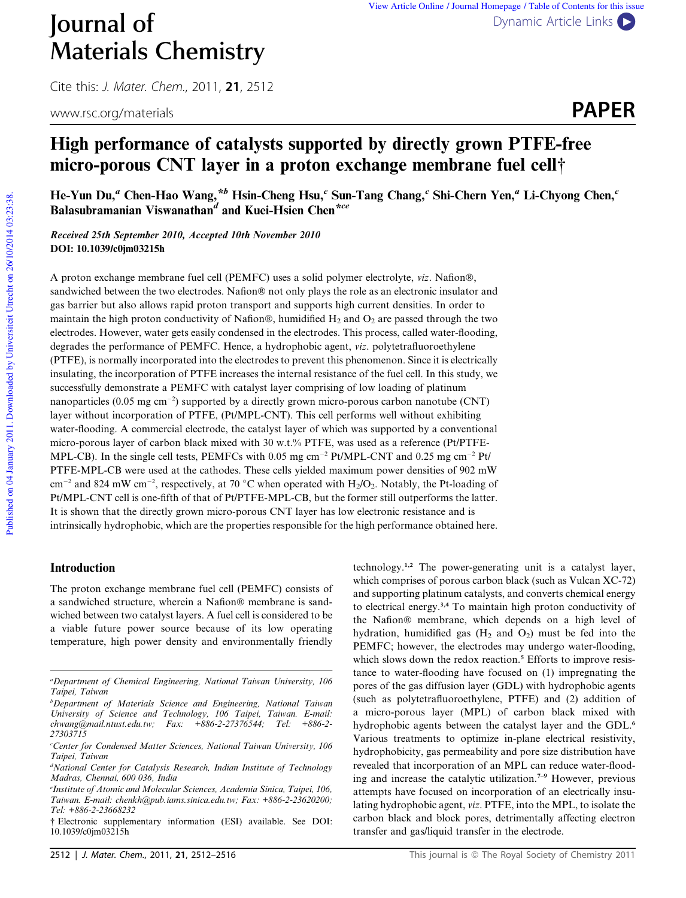

# High performance of catalysts supported by directly grown PTFE-free micro-porous CNT layer in a proton exchange membrane fuel cell†

He-Yun Du," Chen-Hao Wang,\*<sup>b</sup> Hsin-Cheng Hsu,<sup>c</sup> Sun-Tang Chang,<sup>c</sup> Shi-Chern Yen," Li-Chyong Chen,' Balasubramanian Viswanathan<sup>d</sup> and Kuei-Hsien Chen<sup>\*ce</sup>

Received 25th September 2010, Accepted 10th November 2010 DOI: 10.1039/c0jm03215h

A proton exchange membrane fuel cell (PEMFC) uses a solid polymer electrolyte, *viz*. Nafion®, sandwiched between the two electrodes. Nafion® not only plays the role as an electronic insulator and gas barrier but also allows rapid proton transport and supports high current densities. In order to maintain the high proton conductivity of Nafion®, humidified  $H_2$  and  $O_2$  are passed through the two electrodes. However, water gets easily condensed in the electrodes. This process, called water-flooding, degrades the performance of PEMFC. Hence, a hydrophobic agent, *viz*. polytetrafluoroethylene (PTFE), is normally incorporated into the electrodes to prevent this phenomenon. Since it is electrically insulating, the incorporation of PTFE increases the internal resistance of the fuel cell. In this study, we successfully demonstrate a PEMFC with catalyst layer comprising of low loading of platinum nanoparticles (0.05 mg cm<sup>-2</sup>) supported by a directly grown micro-porous carbon nanotube (CNT) layer without incorporation of PTFE, (Pt/MPL-CNT). This cell performs well without exhibiting water-flooding. A commercial electrode, the catalyst layer of which was supported by a conventional micro-porous layer of carbon black mixed with 30 w.t.% PTFE, was used as a reference (Pt/PTFE-MPL-CB). In the single cell tests, PEMFCs with 0.05 mg cm<sup>-2</sup> Pt/MPL-CNT and 0.25 mg cm<sup>-2</sup> Pt/ PTFE-MPL-CB were used at the cathodes. These cells yielded maximum power densities of 902 mW cm<sup>-2</sup> and 824 mW cm<sup>-2</sup>, respectively, at 70 °C when operated with  $H_2/O_2$ . Notably, the Pt-loading of Pt/MPL-CNT cell is one-fifth of that of Pt/PTFE-MPL-CB, but the former still outperforms the latter. It is shown that the directly grown micro-porous CNT layer has low electronic resistance and is intrinsically hydrophobic, which are the properties responsible for the high performance obtained here.

#### Introduction

The proton exchange membrane fuel cell (PEMFC) consists of a sandwiched structure, wherein a Nafion® membrane is sandwiched between two catalyst layers. A fuel cell is considered to be a viable future power source because of its low operating temperature, high power density and environmentally friendly

technology.1,2 The power-generating unit is a catalyst layer, which comprises of porous carbon black (such as Vulcan XC-72) and supporting platinum catalysts, and converts chemical energy to electrical energy.3,4 To maintain high proton conductivity of the Nafion® membrane, which depends on a high level of hydration, humidified gas  $(H_2 \text{ and } O_2)$  must be fed into the PEMFC; however, the electrodes may undergo water-flooding, which slows down the redox reaction.<sup>5</sup> Efforts to improve resistance to water-flooding have focused on (1) impregnating the pores of the gas diffusion layer (GDL) with hydrophobic agents (such as polytetrafluoroethylene, PTFE) and (2) addition of a micro-porous layer (MPL) of carbon black mixed with hydrophobic agents between the catalyst layer and the GDL.<sup>6</sup> Various treatments to optimize in-plane electrical resistivity, hydrophobicity, gas permeability and pore size distribution have revealed that incorporation of an MPL can reduce water-flooding and increase the catalytic utilization.7–9 However, previous attempts have focused on incorporation of an electrically insulating hydrophobic agent, *viz*. PTFE, into the MPL, to isolate the carbon black and block pores, detrimentally affecting electron transfer and gas/liquid transfer in the electrode.

*<sup>a</sup>Department of Chemical Engineering, National Taiwan University, 106 Taipei, Taiwan*

*<sup>b</sup>Department of Materials Science and Engineering, National Taiwan University of Science and Technology, 106 Taipei, Taiwan. E-mail: chwang@mail.ntust.edu.tw; Fax: +886-2-27376544; Tel: +886-2- 27303715*

*<sup>c</sup>Center for Condensed Matter Sciences, National Taiwan University, 106 Taipei, Taiwan*

*<sup>d</sup>National Center for Catalysis Research, Indian Institute of Technology Madras, Chennai, 600 036, India*

*e Institute of Atomic and Molecular Sciences, Academia Sinica, Taipei, 106, Taiwan. E-mail: chenkh@pub.iams.sinica.edu.tw; Fax: +886-2-23620200; Tel: +886-2-23668232*

<sup>†</sup> Electronic supplementary information (ESI) available. See DOI: 10.1039/c0jm03215h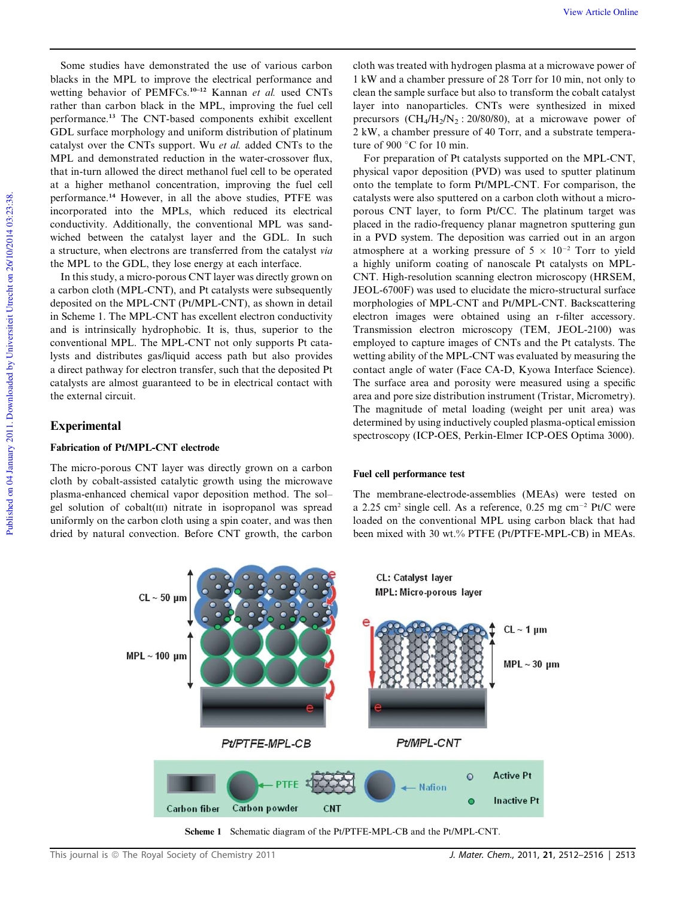Some studies have demonstrated the use of various carbon blacks in the MPL to improve the electrical performance and wetting behavior of PEMFCs.10–12 Kannan *et al.* used CNTs rather than carbon black in the MPL, improving the fuel cell performance.<sup>13</sup> The CNT-based components exhibit excellent GDL surface morphology and uniform distribution of platinum catalyst over the CNTs support. Wu *et al.* added CNTs to the MPL and demonstrated reduction in the water-crossover flux, that in-turn allowed the direct methanol fuel cell to be operated at a higher methanol concentration, improving the fuel cell performance.<sup>14</sup> However, in all the above studies, PTFE was incorporated into the MPLs, which reduced its electrical conductivity. Additionally, the conventional MPL was sandwiched between the catalyst layer and the GDL. In such a structure, when electrons are transferred from the catalyst *via* the MPL to the GDL, they lose energy at each interface.

In this study, a micro-porous CNT layer was directly grown on a carbon cloth (MPL-CNT), and Pt catalysts were subsequently deposited on the MPL-CNT (Pt/MPL-CNT), as shown in detail in Scheme 1. The MPL-CNT has excellent electron conductivity and is intrinsically hydrophobic. It is, thus, superior to the conventional MPL. The MPL-CNT not only supports Pt catalysts and distributes gas/liquid access path but also provides a direct pathway for electron transfer, such that the deposited Pt catalysts are almost guaranteed to be in electrical contact with the external circuit.

## **Experimental**

## Fabrication of Pt/MPL-CNT electrode

The micro-porous CNT layer was directly grown on a carbon cloth by cobalt-assisted catalytic growth using the microwave plasma-enhanced chemical vapor deposition method. The sol– gel solution of cobalt(III) nitrate in isopropanol was spread uniformly on the carbon cloth using a spin coater, and was then dried by natural convection. Before CNT growth, the carbon

cloth was treated with hydrogen plasma at a microwave power of 1 kW and a chamber pressure of 28 Torr for 10 min, not only to clean the sample surface but also to transform the cobalt catalyst layer into nanoparticles. CNTs were synthesized in mixed precursors  $(CH_4/H_2/N_2$ : 20/80/80), at a microwave power of 2 kW, a chamber pressure of 40 Torr, and a substrate temperature of 900 $^{\circ}$ C for 10 min.

For preparation of Pt catalysts supported on the MPL-CNT, physical vapor deposition (PVD) was used to sputter platinum onto the template to form Pt/MPL-CNT. For comparison, the catalysts were also sputtered on a carbon cloth without a microporous CNT layer, to form Pt/CC. The platinum target was placed in the radio-frequency planar magnetron sputtering gun in a PVD system. The deposition was carried out in an argon atmosphere at a working pressure of  $5 \times 10^{-2}$  Torr to yield a highly uniform coating of nanoscale Pt catalysts on MPL-CNT. High-resolution scanning electron microscopy (HRSEM, JEOL-6700F) was used to elucidate the micro-structural surface morphologies of MPL-CNT and Pt/MPL-CNT. Backscattering electron images were obtained using an r-filter accessory. Transmission electron microscopy (TEM, JEOL-2100) was employed to capture images of CNTs and the Pt catalysts. The wetting ability of the MPL-CNT was evaluated by measuring the contact angle of water (Face CA-D, Kyowa Interface Science). The surface area and porosity were measured using a specific area and pore size distribution instrument (Tristar, Micrometry). The magnitude of metal loading (weight per unit area) was determined by using inductively coupled plasma-optical emission spectroscopy (ICP-OES, Perkin-Elmer ICP-OES Optima 3000).

#### Fuel cell performance test

The membrane-electrode-assemblies (MEAs) were tested on a 2.25 cm<sup>2</sup> single cell. As a reference, 0.25 mg cm<sup>-2</sup> Pt/C were loaded on the conventional MPL using carbon black that had been mixed with 30 wt.% PTFE (Pt/PTFE-MPL-CB) in MEAs.

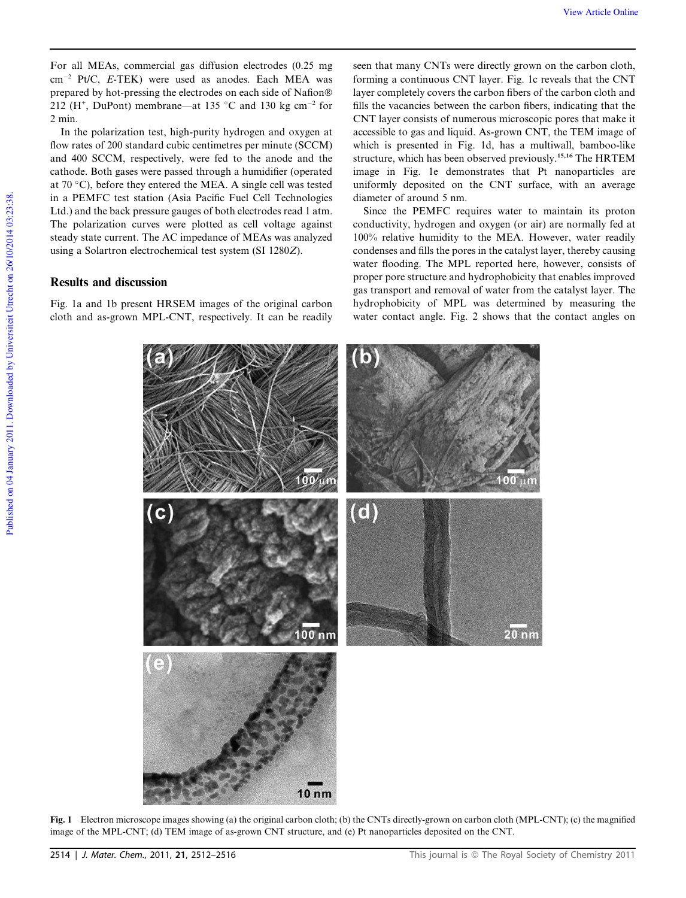For all MEAs, commercial gas diffusion electrodes (0.25 mg cm-<sup>2</sup> Pt/C, *E*-TEK) were used as anodes. Each MEA was prepared by hot-pressing the electrodes on each side of Nafion® 212 (H<sup>+</sup>, DuPont) membrane—at 135 °C and 130 kg cm<sup>-2</sup> for 2 min.

In the polarization test, high-purity hydrogen and oxygen at flow rates of 200 standard cubic centimetres per minute (SCCM) and 400 SCCM, respectively, were fed to the anode and the cathode. Both gases were passed through a humidifier (operated at 70  $^{\circ}$ C), before they entered the MEA. A single cell was tested in a PEMFC test station (Asia Pacific Fuel Cell Technologies Ltd.) and the back pressure gauges of both electrodes read 1 atm. The polarization curves were plotted as cell voltage against steady state current. The AC impedance of MEAs was analyzed using a Solartron electrochemical test system (SI 1280*Z*).

## Results and discussion

Fig. 1a and 1b present HRSEM images of the original carbon cloth and as-grown MPL-CNT, respectively. It can be readily

seen that many CNTs were directly grown on the carbon cloth, forming a continuous CNT layer. Fig. 1c reveals that the CNT layer completely covers the carbon fibers of the carbon cloth and fills the vacancies between the carbon fibers, indicating that the CNT layer consists of numerous microscopic pores that make it accessible to gas and liquid. As-grown CNT, the TEM image of which is presented in Fig. 1d, has a multiwall, bamboo-like structure, which has been observed previously.15,16 The HRTEM image in Fig. 1e demonstrates that Pt nanoparticles are uniformly deposited on the CNT surface, with an average diameter of around 5 nm.

Since the PEMFC requires water to maintain its proton conductivity, hydrogen and oxygen (or air) are normally fed at 100% relative humidity to the MEA. However, water readily condenses and fills the pores in the catalyst layer, thereby causing water flooding. The MPL reported here, however, consists of proper pore structure and hydrophobicity that enables improved gas transport and removal of water from the catalyst layer. The hydrophobicity of MPL was determined by measuring the water contact angle. Fig. 2 shows that the contact angles on



Fig. 1 Electron microscope images showing (a) the original carbon cloth; (b) the CNTs directly-grown on carbon cloth (MPL-CNT); (c) the magnified image of the MPL-CNT; (d) TEM image of as-grown CNT structure, and (e) Pt nanoparticles deposited on the CNT.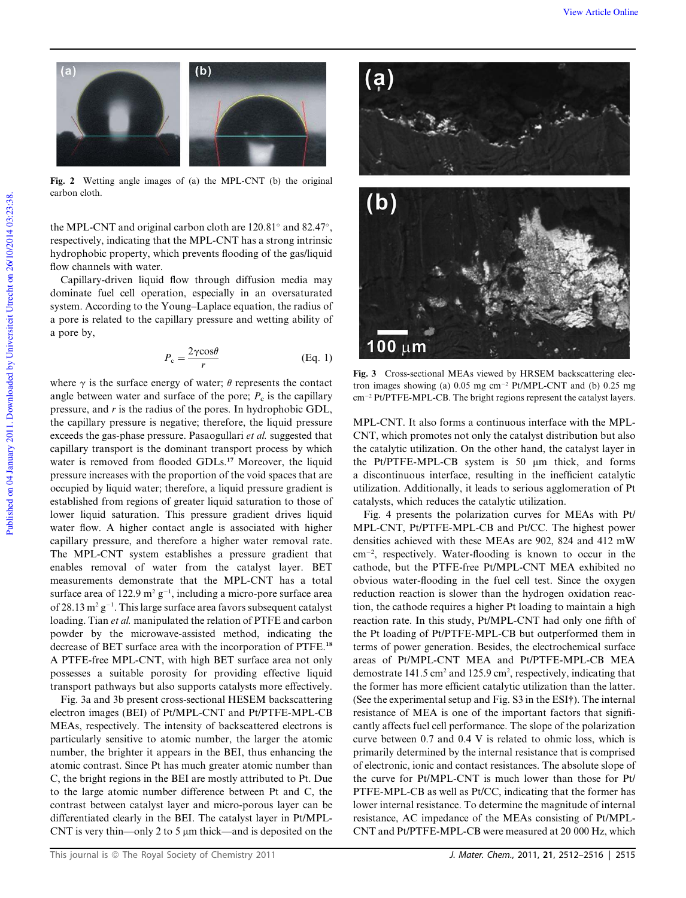

Fig. 2 Wetting angle images of (a) the MPL-CNT (b) the original carbon cloth.

the MPL-CNT and original carbon cloth are  $120.81^\circ$  and  $82.47^\circ$ , respectively, indicating that the MPL-CNT has a strong intrinsic hydrophobic property, which prevents flooding of the gas/liquid flow channels with water.

Capillary-driven liquid flow through diffusion media may dominate fuel cell operation, especially in an oversaturated system. According to the Young–Laplace equation, the radius of a pore is related to the capillary pressure and wetting ability of a pore by,

$$
P_{\rm c} = \frac{2\gamma \cos \theta}{r}
$$
 (Eq. 1)

where  $\gamma$  is the surface energy of water;  $\theta$  represents the contact angle between water and surface of the pore;  $P_c$  is the capillary pressure, and *r* is the radius of the pores. In hydrophobic GDL, the capillary pressure is negative; therefore, the liquid pressure exceeds the gas-phase pressure. Pasaogullari *et al.* suggested that capillary transport is the dominant transport process by which water is removed from flooded GDLs.<sup>17</sup> Moreover, the liquid pressure increases with the proportion of the void spaces that are occupied by liquid water; therefore, a liquid pressure gradient is established from regions of greater liquid saturation to those of lower liquid saturation. This pressure gradient drives liquid water flow. A higher contact angle is associated with higher capillary pressure, and therefore a higher water removal rate. The MPL-CNT system establishes a pressure gradient that enables removal of water from the catalyst layer. BET measurements demonstrate that the MPL-CNT has a total surface area of  $122.9 \text{ m}^2 \text{ g}^{-1}$ , including a micro-pore surface area of 28.13  $m^2$   $g^{-1}$ . This large surface area favors subsequent catalyst loading. Tian *et al.* manipulated the relation of PTFE and carbon powder by the microwave-assisted method, indicating the decrease of BET surface area with the incorporation of PTFE.<sup>18</sup> A PTFE-free MPL-CNT, with high BET surface area not only possesses a suitable porosity for providing effective liquid transport pathways but also supports catalysts more effectively.

Fig. 3a and 3b present cross-sectional HESEM backscattering electron images (BEI) of Pt/MPL-CNT and Pt/PTFE-MPL-CB MEAs, respectively. The intensity of backscattered electrons is particularly sensitive to atomic number, the larger the atomic number, the brighter it appears in the BEI, thus enhancing the atomic contrast. Since Pt has much greater atomic number than C, the bright regions in the BEI are mostly attributed to Pt. Due to the large atomic number difference between Pt and C, the contrast between catalyst layer and micro-porous layer can be differentiated clearly in the BEI. The catalyst layer in Pt/MPL-CNT is very thin—only 2 to 5  $\mu$ m thick—and is deposited on the





Fig. 3 Cross-sectional MEAs viewed by HRSEM backscattering electron images showing (a) 0.05 mg cm-<sup>2</sup> Pt/MPL-CNT and (b) 0.25 mg cm-<sup>2</sup> Pt/PTFE-MPL-CB. The bright regions represent the catalyst layers.

MPL-CNT. It also forms a continuous interface with the MPL-CNT, which promotes not only the catalyst distribution but also the catalytic utilization. On the other hand, the catalyst layer in the Pt/PTFE-MPL-CB system is 50 µm thick, and forms a discontinuous interface, resulting in the inefficient catalytic utilization. Additionally, it leads to serious agglomeration of Pt catalysts, which reduces the catalytic utilization.

Fig. 4 presents the polarization curves for MEAs with Pt/ MPL-CNT, Pt/PTFE-MPL-CB and Pt/CC. The highest power densities achieved with these MEAs are 902, 824 and 412 mW cm-2 , respectively. Water-flooding is known to occur in the cathode, but the PTFE-free Pt/MPL-CNT MEA exhibited no obvious water-flooding in the fuel cell test. Since the oxygen reduction reaction is slower than the hydrogen oxidation reaction, the cathode requires a higher Pt loading to maintain a high reaction rate. In this study, Pt/MPL-CNT had only one fifth of the Pt loading of Pt/PTFE-MPL-CB but outperformed them in terms of power generation. Besides, the electrochemical surface areas of Pt/MPL-CNT MEA and Pt/PTFE-MPL-CB MEA demostrate 141.5 cm<sup>2</sup> and 125.9 cm<sup>2</sup>, respectively, indicating that the former has more efficient catalytic utilization than the latter. (See the experimental setup and Fig. S3 in the ESI†). The internal resistance of MEA is one of the important factors that significantly affects fuel cell performance. The slope of the polarization curve between 0.7 and 0.4 V is related to ohmic loss, which is primarily determined by the internal resistance that is comprised of electronic, ionic and contact resistances. The absolute slope of the curve for Pt/MPL-CNT is much lower than those for Pt/ PTFE-MPL-CB as well as Pt/CC, indicating that the former has lower internal resistance. To determine the magnitude of internal resistance, AC impedance of the MEAs consisting of Pt/MPL-CNT and Pt/PTFE-MPL-CB were measured at 20 000 Hz, which